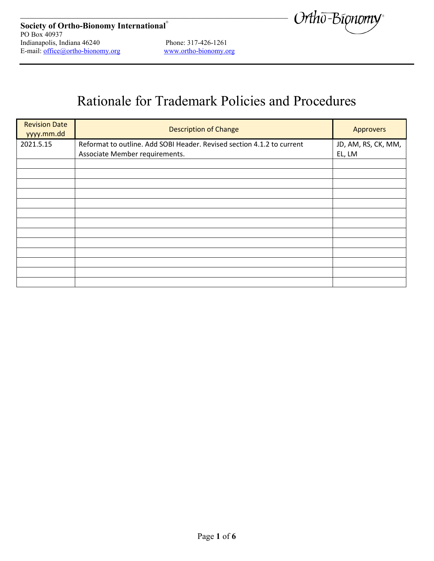

# Rationale for Trademark Policies and Procedures

| <b>Revision Date</b><br>yyyy.mm.dd | <b>Description of Change</b>                                                                             | <b>Approvers</b>              |
|------------------------------------|----------------------------------------------------------------------------------------------------------|-------------------------------|
| 2021.5.15                          | Reformat to outline. Add SOBI Header. Revised section 4.1.2 to current<br>Associate Member requirements. | JD, AM, RS, CK, MM,<br>EL, LM |
|                                    |                                                                                                          |                               |
|                                    |                                                                                                          |                               |
|                                    |                                                                                                          |                               |
|                                    |                                                                                                          |                               |
|                                    |                                                                                                          |                               |
|                                    |                                                                                                          |                               |
|                                    |                                                                                                          |                               |
|                                    |                                                                                                          |                               |
|                                    |                                                                                                          |                               |
|                                    |                                                                                                          |                               |
|                                    |                                                                                                          |                               |
|                                    |                                                                                                          |                               |
|                                    |                                                                                                          |                               |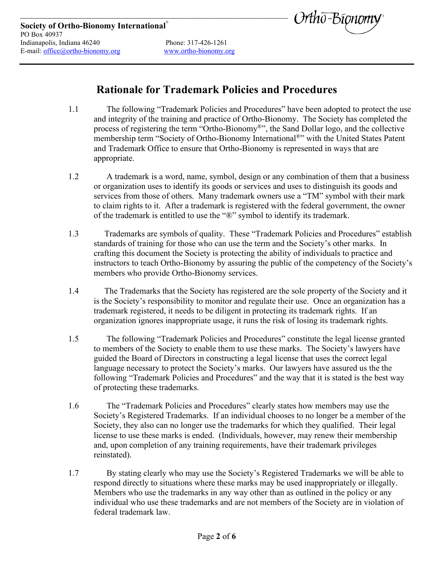

### **Rationale for Trademark Policies and Procedures**

- 1.1 The following "Trademark Policies and Procedures" have been adopted to protect the use and integrity of the training and practice of Ortho-Bionomy. The Society has completed the process of registering the term "Ortho-Bionomy®", the Sand Dollar logo, and the collective membership term "Society of Ortho-Bionomy International<sup>®</sup>" with the United States Patent and Trademark Office to ensure that Ortho-Bionomy is represented in ways that are appropriate.
- 1.2 A trademark is a word, name, symbol, design or any combination of them that a business or organization uses to identify its goods or services and uses to distinguish its goods and services from those of others. Many trademark owners use a "TM" symbol with their mark to claim rights to it. After a trademark is registered with the federal government, the owner of the trademark is entitled to use the "®" symbol to identify its trademark.
- 1.3 Trademarks are symbols of quality. These "Trademark Policies and Procedures" establish standards of training for those who can use the term and the Society's other marks. In crafting this document the Society is protecting the ability of individuals to practice and instructors to teach Ortho-Bionomy by assuring the public of the competency of the Society's members who provide Ortho-Bionomy services.
- 1.4 The Trademarks that the Society has registered are the sole property of the Society and it is the Society's responsibility to monitor and regulate their use. Once an organization has a trademark registered, it needs to be diligent in protecting its trademark rights. If an organization ignores inappropriate usage, it runs the risk of losing its trademark rights.
- 1.5 The following "Trademark Policies and Procedures" constitute the legal license granted to members of the Society to enable them to use these marks. The Society's lawyers have guided the Board of Directors in constructing a legal license that uses the correct legal language necessary to protect the Society's marks. Our lawyers have assured us the the following "Trademark Policies and Procedures" and the way that it is stated is the best way of protecting these trademarks.
- 1.6 The "Trademark Policies and Procedures" clearly states how members may use the Society's Registered Trademarks. If an individual chooses to no longer be a member of the Society, they also can no longer use the trademarks for which they qualified. Their legal license to use these marks is ended. (Individuals, however, may renew their membership and, upon completion of any training requirements, have their trademark privileges reinstated).
- 1.7 By stating clearly who may use the Society's Registered Trademarks we will be able to respond directly to situations where these marks may be used inappropriately or illegally. Members who use the trademarks in any way other than as outlined in the policy or any individual who use these trademarks and are not members of the Society are in violation of federal trademark law.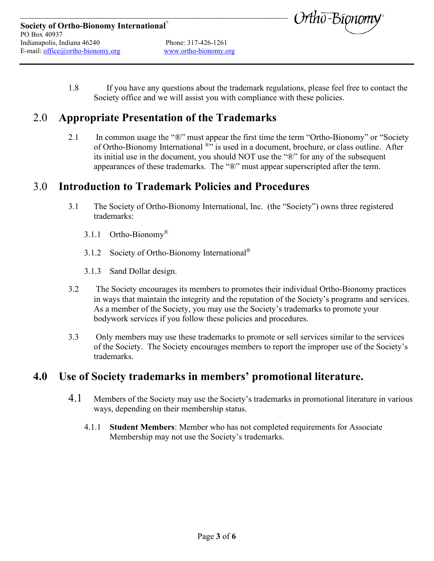



1.8 If you have any questions about the trademark regulations, please feel free to contact the Society office and we will assist you with compliance with these policies.

## 2.0 **Appropriate Presentation of the Trademarks**

2.1 In common usage the "®" must appear the first time the term "Ortho-Bionomy" or "Society of Ortho-Bionomy International <sup>®</sup>" is used in a document, brochure, or class outline. After its initial use in the document, you should NOT use the "®" for any of the subsequent appearances of these trademarks. The "®" must appear superscripted after the term.

#### 3.0 **Introduction to Trademark Policies and Procedures**

- 3.1 The Society of Ortho-Bionomy International, Inc. (the "Society") owns three registered trademarks:
	- 3.1.1 Ortho-Bionomy®
	- 3.1.2 Society of Ortho-Bionomy International<sup>®</sup>
	- 3.1.3 Sand Dollar design.
- 3.2 The Society encourages its members to promotes their individual Ortho-Bionomy practices in ways that maintain the integrity and the reputation of the Society's programs and services. As a member of the Society, you may use the Society's trademarks to promote your bodywork services if you follow these policies and procedures.
- 3.3 Only members may use these trademarks to promote or sell services similar to the services of the Society. The Society encourages members to report the improper use of the Society's trademarks.

#### **4.0 Use of Society trademarks in members' promotional literature.**

- 4.1 Members of the Society may use the Society's trademarks in promotional literature in various ways, depending on their membership status.
	- 4.1.1 **Student Members**: Member who has not completed requirements for Associate Membership may not use the Society's trademarks.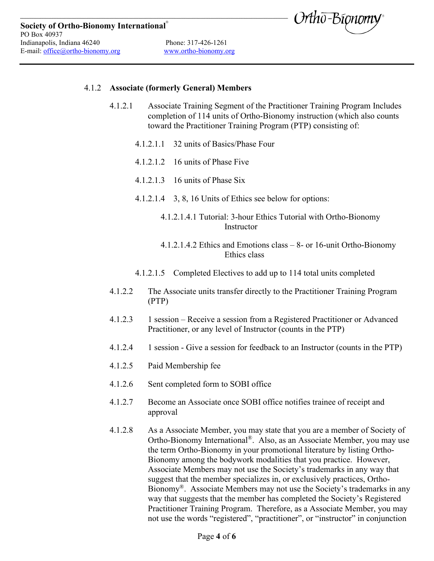

#### 4.1.2 **Associate (formerly General) Members**

- 4.1.2.1 Associate Training Segment of the Practitioner Training Program Includes completion of 114 units of Ortho-Bionomy instruction (which also counts toward the Practitioner Training Program (PTP) consisting of:
	- 4.1.2.1.1 32 units of Basics/Phase Four
	- 4.1.2.1.2 16 units of Phase Five
	- 4.1.2.1.3 16 units of Phase Six
	- 4.1.2.1.4 3, 8, 16 Units of Ethics see below for options:
		- 4.1.2.1.4.1 Tutorial: 3-hour Ethics Tutorial with Ortho-Bionomy **Instructor**
		- 4.1.2.1.4.2 Ethics and Emotions class 8- or 16-unit Ortho-Bionomy Ethics class
	- 4.1.2.1.5 Completed Electives to add up to 114 total units completed
- 4.1.2.2 The Associate units transfer directly to the Practitioner Training Program (PTP)
- 4.1.2.3 1 session Receive a session from a Registered Practitioner or Advanced Practitioner, or any level of Instructor (counts in the PTP)
- 4.1.2.4 1 session Give a session for feedback to an Instructor (counts in the PTP)
- 4.1.2.5 Paid Membership fee
- 4.1.2.6 Sent completed form to SOBI office
- 4.1.2.7 Become an Associate once SOBI office notifies trainee of receipt and approval
- 4.1.2.8 As a Associate Member, you may state that you are a member of Society of Ortho-Bionomy International®. Also, as an Associate Member, you may use the term Ortho-Bionomy in your promotional literature by listing Ortho-Bionomy among the bodywork modalities that you practice. However, Associate Members may not use the Society's trademarks in any way that suggest that the member specializes in, or exclusively practices, Ortho-Bionomy®. Associate Members may not use the Society's trademarks in any way that suggests that the member has completed the Society's Registered Practitioner Training Program. Therefore, as a Associate Member, you may not use the words "registered", "practitioner", or "instructor" in conjunction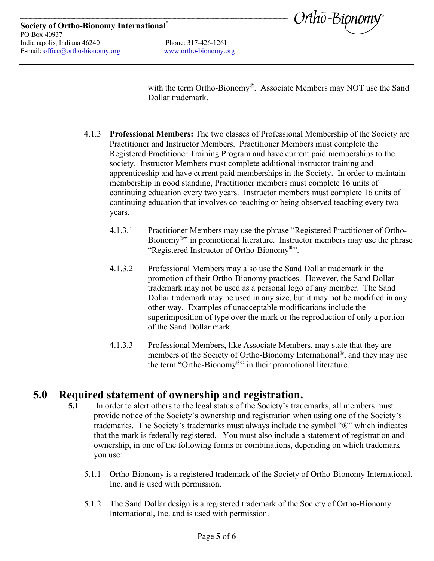

with the term Ortho-Bionomy®. Associate Members may NOT use the Sand Dollar trademark.

- 4.1.3 **Professional Members:** The two classes of Professional Membership of the Society are Practitioner and Instructor Members. Practitioner Members must complete the Registered Practitioner Training Program and have current paid memberships to the society. Instructor Members must complete additional instructor training and apprenticeship and have current paid memberships in the Society. In order to maintain membership in good standing, Practitioner members must complete 16 units of continuing education every two years. Instructor members must complete 16 units of continuing education that involves co-teaching or being observed teaching every two years.
	- 4.1.3.1 Practitioner Members may use the phrase "Registered Practitioner of Ortho-Bionomy<sup>®</sup>" in promotional literature. Instructor members may use the phrase "Registered Instructor of Ortho-Bionomy®".
	- 4.1.3.2 Professional Members may also use the Sand Dollar trademark in the promotion of their Ortho-Bionomy practices. However, the Sand Dollar trademark may not be used as a personal logo of any member. The Sand Dollar trademark may be used in any size, but it may not be modified in any other way. Examples of unacceptable modifications include the superimposition of type over the mark or the reproduction of only a portion of the Sand Dollar mark.
	- 4.1.3.3 Professional Members, like Associate Members, may state that they are members of the Society of Ortho-Bionomy International®, and they may use the term "Ortho-Bionomy®" in their promotional literature.

#### **5.0 Required statement of ownership and registration.**

- **5.1** In order to alert others to the legal status of the Society's trademarks, all members must provide notice of the Society's ownership and registration when using one of the Society's trademarks. The Society's trademarks must always include the symbol "®" which indicates that the mark is federally registered. You must also include a statement of registration and ownership, in one of the following forms or combinations, depending on which trademark you use:
	- 5.1.1 Ortho-Bionomy is a registered trademark of the Society of Ortho-Bionomy International, Inc. and is used with permission.
	- 5.1.2 The Sand Dollar design is a registered trademark of the Society of Ortho-Bionomy International, Inc. and is used with permission.